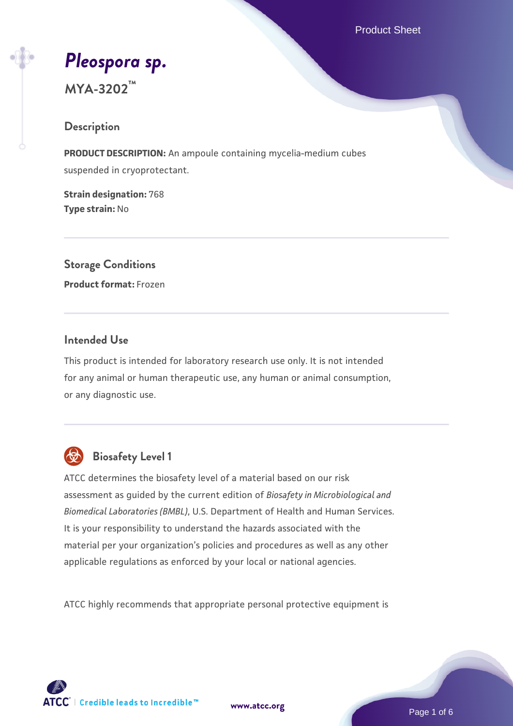Product Sheet

# *[Pleospora sp.](https://www.atcc.org/products/mya-3202)*

**MYA-3202™**

### **Description**

**PRODUCT DESCRIPTION:** An ampoule containing mycelia-medium cubes suspended in cryoprotectant.

**Strain designation:** 768 **Type strain:** No

**Storage Conditions Product format:** Frozen

#### **Intended Use**

This product is intended for laboratory research use only. It is not intended for any animal or human therapeutic use, any human or animal consumption, or any diagnostic use.



# **Biosafety Level 1**

ATCC determines the biosafety level of a material based on our risk assessment as guided by the current edition of *Biosafety in Microbiological and Biomedical Laboratories (BMBL)*, U.S. Department of Health and Human Services. It is your responsibility to understand the hazards associated with the material per your organization's policies and procedures as well as any other applicable regulations as enforced by your local or national agencies.

ATCC highly recommends that appropriate personal protective equipment is



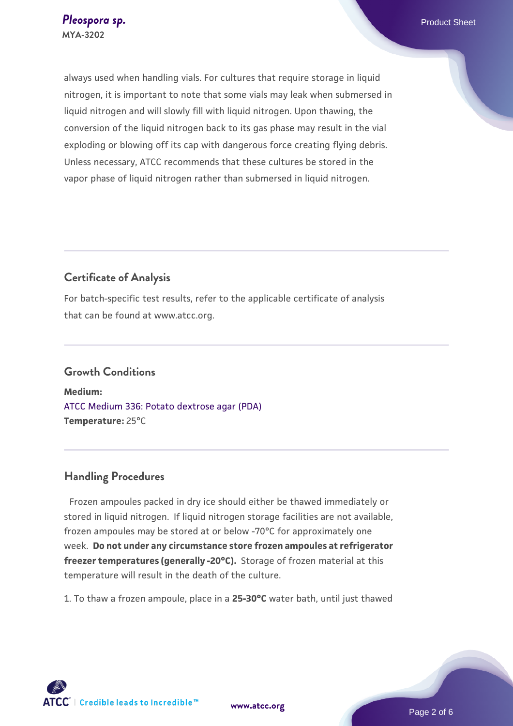always used when handling vials. For cultures that require storage in liquid nitrogen, it is important to note that some vials may leak when submersed in liquid nitrogen and will slowly fill with liquid nitrogen. Upon thawing, the conversion of the liquid nitrogen back to its gas phase may result in the vial exploding or blowing off its cap with dangerous force creating flying debris. Unless necessary, ATCC recommends that these cultures be stored in the vapor phase of liquid nitrogen rather than submersed in liquid nitrogen.

# **Certificate of Analysis**

For batch-specific test results, refer to the applicable certificate of analysis that can be found at www.atcc.org.

# **Growth Conditions**

**Medium:**  [ATCC Medium 336: Potato dextrose agar \(PDA\)](https://www.atcc.org/-/media/product-assets/documents/microbial-media-formulations/3/3/6/atcc-medium-336.pdf?rev=d9160ad44d934cd8b65175461abbf3b9) **Temperature:** 25°C

#### **Handling Procedures**

Frozen ampoules packed in dry ice should either be thawed immediately or stored in liquid nitrogen. If liquid nitrogen storage facilities are not available, frozen ampoules may be stored at or below -70°C for approximately one week. **Do not under any circumstance store frozen ampoules at refrigerator freezer temperatures (generally -20°C).** Storage of frozen material at this temperature will result in the death of the culture.

1. To thaw a frozen ampoule, place in a **25-30°C** water bath, until just thawed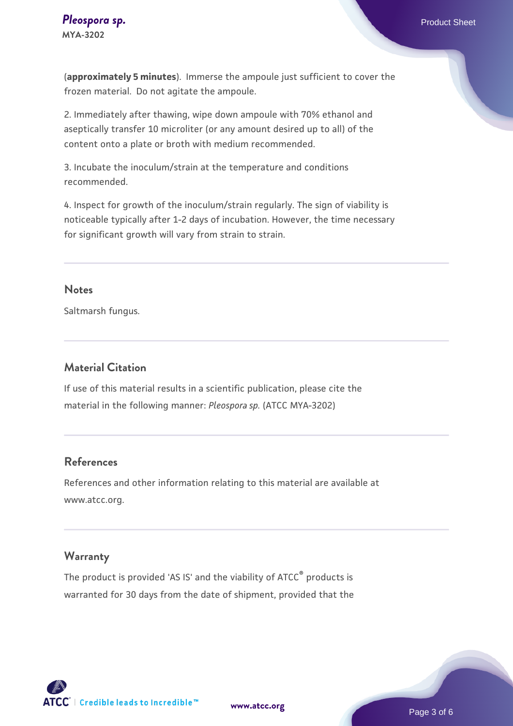(**approximately 5 minutes**). Immerse the ampoule just sufficient to cover the frozen material. Do not agitate the ampoule.

2. Immediately after thawing, wipe down ampoule with 70% ethanol and aseptically transfer 10 microliter (or any amount desired up to all) of the content onto a plate or broth with medium recommended.

3. Incubate the inoculum/strain at the temperature and conditions recommended.

4. Inspect for growth of the inoculum/strain regularly. The sign of viability is noticeable typically after 1-2 days of incubation. However, the time necessary for significant growth will vary from strain to strain.

#### **Notes**

Saltmarsh fungus.

#### **Material Citation**

If use of this material results in a scientific publication, please cite the material in the following manner: *Pleospora sp.* (ATCC MYA-3202)

#### **References**

References and other information relating to this material are available at www.atcc.org.

#### **Warranty**

The product is provided 'AS IS' and the viability of ATCC<sup>®</sup> products is warranted for 30 days from the date of shipment, provided that the

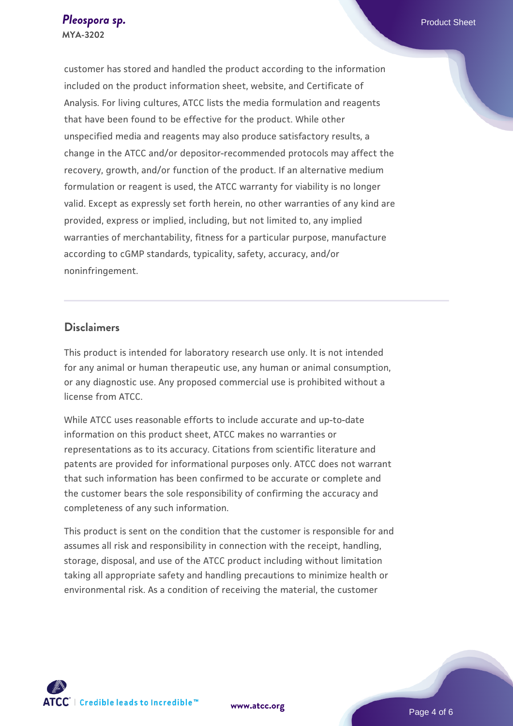customer has stored and handled the product according to the information included on the product information sheet, website, and Certificate of Analysis. For living cultures, ATCC lists the media formulation and reagents that have been found to be effective for the product. While other unspecified media and reagents may also produce satisfactory results, a change in the ATCC and/or depositor-recommended protocols may affect the recovery, growth, and/or function of the product. If an alternative medium formulation or reagent is used, the ATCC warranty for viability is no longer valid. Except as expressly set forth herein, no other warranties of any kind are provided, express or implied, including, but not limited to, any implied warranties of merchantability, fitness for a particular purpose, manufacture according to cGMP standards, typicality, safety, accuracy, and/or noninfringement.

#### **Disclaimers**

This product is intended for laboratory research use only. It is not intended for any animal or human therapeutic use, any human or animal consumption, or any diagnostic use. Any proposed commercial use is prohibited without a license from ATCC.

While ATCC uses reasonable efforts to include accurate and up-to-date information on this product sheet, ATCC makes no warranties or representations as to its accuracy. Citations from scientific literature and patents are provided for informational purposes only. ATCC does not warrant that such information has been confirmed to be accurate or complete and the customer bears the sole responsibility of confirming the accuracy and completeness of any such information.

This product is sent on the condition that the customer is responsible for and assumes all risk and responsibility in connection with the receipt, handling, storage, disposal, and use of the ATCC product including without limitation taking all appropriate safety and handling precautions to minimize health or environmental risk. As a condition of receiving the material, the customer



**[www.atcc.org](http://www.atcc.org)**

Page 4 of 6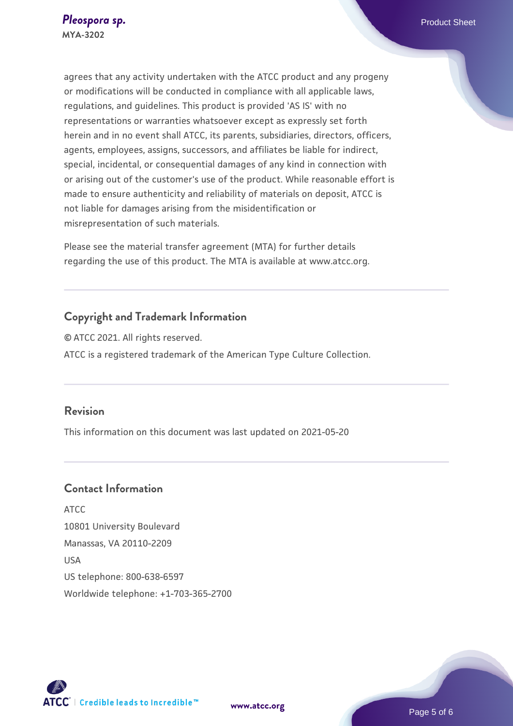agrees that any activity undertaken with the ATCC product and any progeny or modifications will be conducted in compliance with all applicable laws, regulations, and guidelines. This product is provided 'AS IS' with no representations or warranties whatsoever except as expressly set forth herein and in no event shall ATCC, its parents, subsidiaries, directors, officers, agents, employees, assigns, successors, and affiliates be liable for indirect, special, incidental, or consequential damages of any kind in connection with or arising out of the customer's use of the product. While reasonable effort is made to ensure authenticity and reliability of materials on deposit, ATCC is not liable for damages arising from the misidentification or misrepresentation of such materials.

Please see the material transfer agreement (MTA) for further details regarding the use of this product. The MTA is available at www.atcc.org.

# **Copyright and Trademark Information**

© ATCC 2021. All rights reserved. ATCC is a registered trademark of the American Type Culture Collection.

#### **Revision**

This information on this document was last updated on 2021-05-20

# **Contact Information**

ATCC 10801 University Boulevard Manassas, VA 20110-2209 USA US telephone: 800-638-6597 Worldwide telephone: +1-703-365-2700